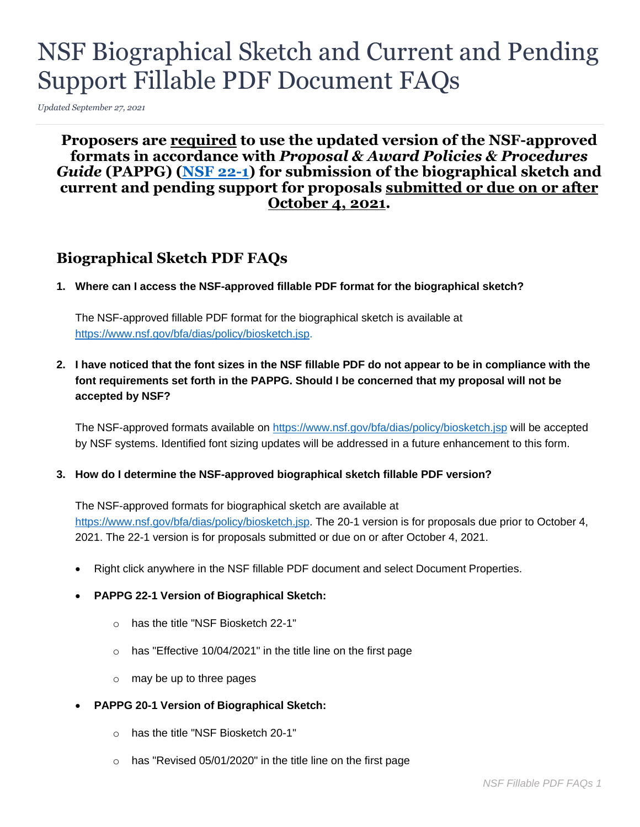# NSF Biographical Sketch and Current and Pending Support Fillable PDF Document FAQs

*Updated September 27, 2021* 

# **formats in accordance with** *Proposal & Award Policies & Procedures*  **Proposers are required to use the updated version of the NSF-approved**  *Guide* **(PAPPG) [\(NSF 22-1\)](https://www.nsf.gov/publications/pub_summ.jsp?ods_key=nsf22001) for submission of the biographical sketch and current and pending support for proposals submitted or due on or after October 4, 2021.**

# **Biographical Sketch PDF FAQs**

 **1. Where can I access the NSF-approved fillable PDF format for the biographical sketch?** 

The NSF-approved fillable PDF format for the biographical sketch is available at [https://www.nsf.gov/bfa/dias/policy/biosketch.jsp.](https://www.nsf.gov/bfa/dias/policy/biosketch.jsp)

 **2. I have noticed that the font sizes in the NSF fillable PDF do not appear to be in compliance with the font requirements set forth in the PAPPG. Should I be concerned that my proposal will not be accepted by NSF?** 

The NSF-approved formats available on<https://www.nsf.gov/bfa/dias/policy/biosketch.jsp>will be accepted by NSF systems. Identified font sizing updates will be addressed in a future enhancement to this form.

#### **3. How do I determine the NSF-approved biographical sketch fillable PDF version?**

 2021. The 22-1 version is for proposals submitted or due on or after October 4, 2021. The NSF-approved formats for biographical sketch are available at [https://www.nsf.gov/bfa/dias/policy/biosketch.jsp.](https://www.nsf.gov/bfa/dias/policy/biosketch.jsp.%20The%2020-1%20version%2020-1) The 20-1 version is for proposals due prior to October 4,

- Right click anywhere in the NSF fillable PDF document and select Document Properties.
- **PAPPG 22-1 Version of Biographical Sketch:** 
	- o has the title "NSF Biosketch 22-1"
	- o has "Effective 10/04/2021" in the title line on the first page
	- o may be up to three pages
- **PAPPG 20-1 Version of Biographical Sketch:** 
	- o has the title "NSF Biosketch 20-1"
	- $\circ$  has "Revised 05/01/2020" in the title line on the first page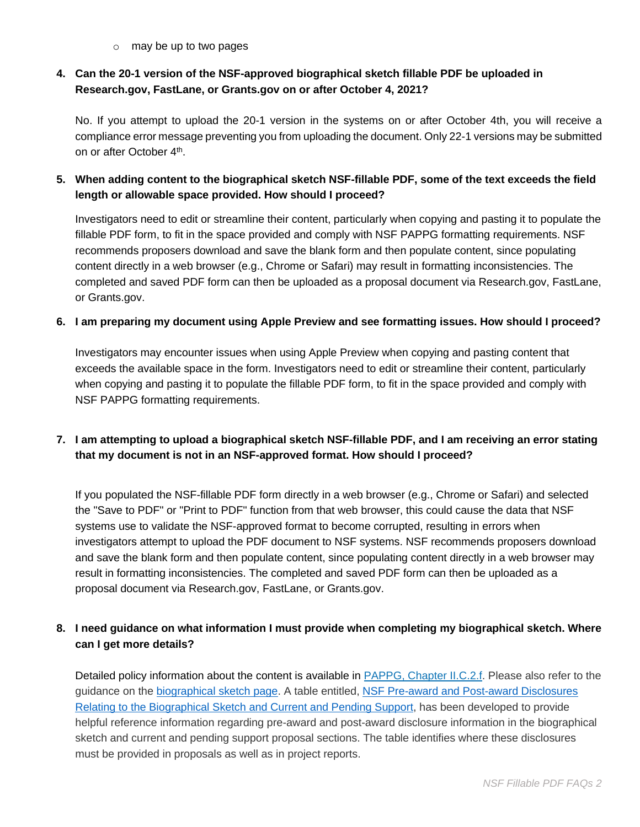o may be up to two pages

# **4. Can the 20-1 version of the NSF-approved biographical sketch fillable PDF be uploaded in [Research.gov,](https://Research.gov) FastLane, or [Grants.gov](https://Grants.gov) on or after October 4, 2021?**

 No. If you attempt to upload the 20-1 version in the systems on or after October 4th, you will receive a compliance error message preventing you from uploading the document. Only 22-1 versions may be submitted on or after October 4th.

# **length or allowable space provided. How should I proceed? 5. When adding content to the biographical sketch NSF-fillable PDF, some of the text exceeds the field**

 Investigators need to edit or streamline their content, particularly when copying and pasting it to populate the fillable PDF form, to fit in the space provided and comply with NSF PAPPG formatting requirements. NSF recommends proposers download and save the blank form and then populate content, since populating completed and saved PDF form can then be uploaded as a proposal document via [Research.gov,](https://Research.gov) FastLane, content directly in a web browser (e.g., Chrome or Safari) may result in formatting inconsistencies. The or [Grants.gov.](https://Grants.gov)

#### **6. I am preparing my document using Apple Preview and see formatting issues. How should I proceed?**

 Investigators may encounter issues when using Apple Preview when copying and pasting content that exceeds the available space in the form. Investigators need to edit or streamline their content, particularly when copying and pasting it to populate the fillable PDF form, to fit in the space provided and comply with NSF PAPPG formatting requirements.

# **7. I am attempting to upload a biographical sketch NSF-fillable PDF, and I am receiving an error stating that my document is not in an NSF-approved format. How should I proceed?**

 If you populated the NSF-fillable PDF form directly in a web browser (e.g., Chrome or Safari) and selected the "Save to PDF" or "Print to PDF" function from that web browser, this could cause the data that NSF proposal document via [Research.gov,](https://Research.gov) FastLane, or [Grants.gov.](https://Grants.gov) systems use to validate the NSF-approved format to become corrupted, resulting in errors when investigators attempt to upload the PDF document to NSF systems. NSF recommends proposers download and save the blank form and then populate content, since populating content directly in a web browser may result in formatting inconsistencies. The completed and saved PDF form can then be uploaded as a

# **8. I need guidance on what information I must provide when completing my biographical sketch. Where can I get more details?**

Detailed policy information about the content is available in **PAPPG**, Chapter II.C.2.f. Please also refer to the [Relating to the Biographical Sketch and Current and Pending Support,](https://www.nsf.gov/bfa/dias/policy/disclosures_table.jsp) has been developed to provide sketch and current and pending support proposal sections. The table identifies where these disclosures guidance on the [biographical sketch page.](https://www.nsf.gov/bfa/dias/policy/biosketch.jsp) A table entitled, [NSF Pre-award and Post-award Disclosures](https://www.nsf.gov/bfa/dias/policy/disclosures_table.jsp)  helpful reference information regarding pre-award and post-award disclosure information in the biographical must be provided in proposals as well as in project reports.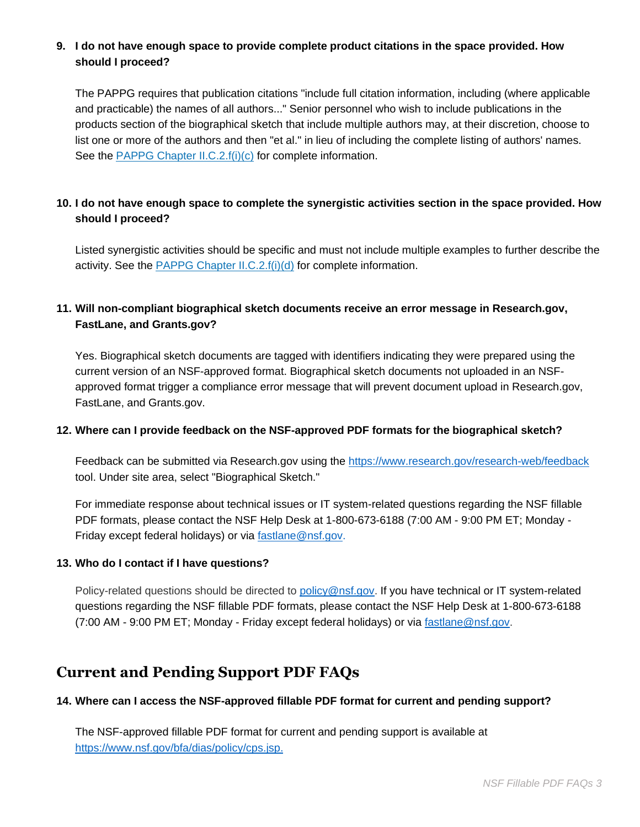# **9. I do not have enough space to provide complete product citations in the space provided. How should I proceed?**

 and practicable) the names of all authors..." Senior personnel who wish to include publications in the products section of the biographical sketch that include multiple authors may, at their discretion, choose to The PAPPG requires that publication citations "include full citation information, including (where applicable list one or more of the authors and then "et al." in lieu of including the complete listing of authors' names. See the [PAPPG Chapter II.C.2.f\(i\)\(c\)](https://www.nsf.gov/pubs/policydocs/pappg22_1/pappg_2.jsp#IIC2fic) for complete information.

# **10. I do not have enough space to complete the synergistic activities section in the space provided. How should I proceed?**

 Listed synergistic activities should be specific and must not include multiple examples to further describe the activity. See the [PAPPG Chapter II.C.2.f\(i\)\(d\)](https://www.nsf.gov/pubs/policydocs/pappg22_1/pappg_2.jsp#IIC2fid) for complete information.

# **11. Will non-compliant biographical sketch documents receive an error message in [Research.gov](https://Research.gov), FastLane, and [Grants.gov](https://Grants.gov)?**

 approved format trigger a compliance error message that will prevent document upload in [Research.gov,](https://Research.gov) Yes. Biographical sketch documents are tagged with identifiers indicating they were prepared using the current version of an NSF-approved format. Biographical sketch documents not uploaded in an NSF-FastLane, and [Grants.gov.](https://Grants.gov)

#### **12. Where can I provide feedback on the NSF-approved PDF formats for the biographical sketch?**

 tool. Under site area, select "Biographical Sketch." Feedback can be submitted via [Research.gov](https://Research.gov) using the<https://www.research.gov/research-web/feedback>

Friday except federal holidays) or via [fastlane@nsf.gov.](mailto:fastlane@nsf.gov) For immediate response about technical issues or IT system-related questions regarding the NSF fillable PDF formats, please contact the NSF Help Desk at 1-800-673-6188 (7:00 AM - 9:00 PM ET; Monday -

#### **13. Who do I contact if I have questions?**

(7:00 AM - 9:00 PM ET; Monday - Friday except federal holidays) or via [fastlane@nsf.gov.](mailto:fastlane@nsf.gov) Policy-related questions should be directed to [policy@nsf.gov.](mailto:policy@nsf.gov) If you have technical or IT system-related questions regarding the NSF fillable PDF formats, please contact the NSF Help Desk at 1-800-673-6188

# **Current and Pending Support PDF FAQs**

#### **14. Where can I access the NSF-approved fillable PDF format for current and pending support?**

 The NSF-approved fillable PDF format for current and pending support is available at [https://www.nsf.gov/bfa/dias/policy/cps.jsp.](https://www.nsf.gov/bfa/dias/policy/cps.jsp)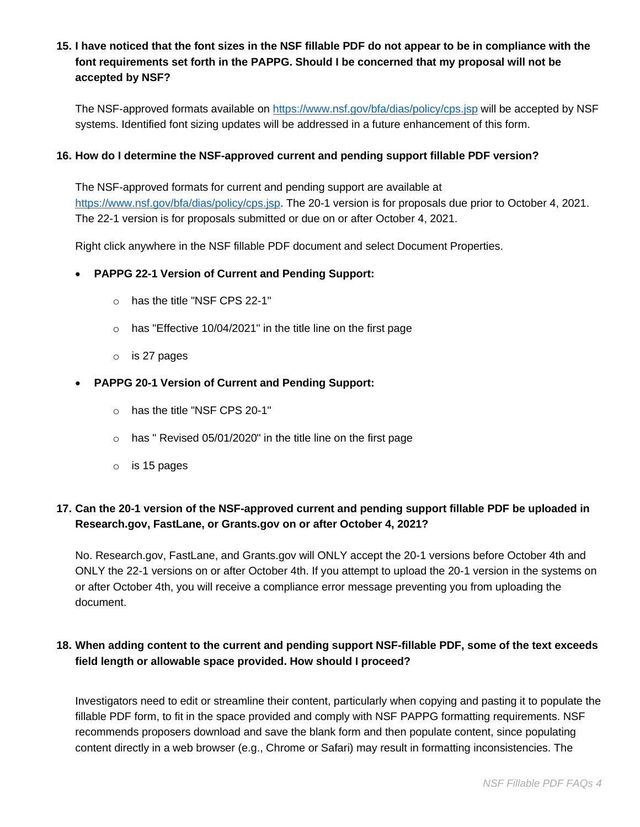# **15. I have noticed that the font sizes in the NSF fillable PDF do not appear to be in compliance with the font requirements set forth in the PAPPG. Should I be concerned that my proposal will not be accepted by NSF?**

 systems. Identified font sizing updates will be addressed in a future enhancement of this form. The NSF-approved formats available on<https://www.nsf.gov/bfa/dias/policy/cps.jsp>will be accepted by NSF

#### **16. How do I determine the NSF-approved current and pending support fillable PDF version?**

[https://www.nsf.gov/bfa/dias/policy/cps.jsp.](https://www.nsf.gov/bfa/dias/policy/cps.jsp) The 20-1 version is for proposals due prior to October 4, 2021. The 22-1 version is for proposals submitted or due on or after October 4, 2021. The NSF-approved formats for current and pending support are available at

Right click anywhere in the NSF fillable PDF document and select Document Properties.

#### • **PAPPG 22-1 Version of Current and Pending Support:**

- o has the title "NSF CPS 22-1"
- o has "Effective 10/04/2021" in the title line on the first page
- o is 27 pages
- **PAPPG 20-1 Version of Current and Pending Support:** 
	- o has the title "NSF CPS 20-1"
	- o has " Revised 05/01/2020" in the title line on the first page
	- o is 15 pages

# **17. Can the 20-1 version of the NSF-approved current and pending support fillable PDF be uploaded in [Research.gov,](https://Research.gov) FastLane, or [Grants.gov](https://Grants.gov) on or after October 4, 2021?**

 No. [Research.gov](https://Research.gov), FastLane, and [Grants.gov](https://Grants.gov) will ONLY accept the 20-1 versions before October 4th and ONLY the 22-1 versions on or after October 4th. If you attempt to upload the 20-1 version in the systems on or after October 4th, you will receive a compliance error message preventing you from uploading the document.

# **18. When adding content to the current and pending support NSF-fillable PDF, some of the text exceeds field length or allowable space provided. How should I proceed?**

 Investigators need to edit or streamline their content, particularly when copying and pasting it to populate the fillable PDF form, to fit in the space provided and comply with NSF PAPPG formatting requirements. NSF recommends proposers download and save the blank form and then populate content, since populating content directly in a web browser (e.g., Chrome or Safari) may result in formatting inconsistencies. The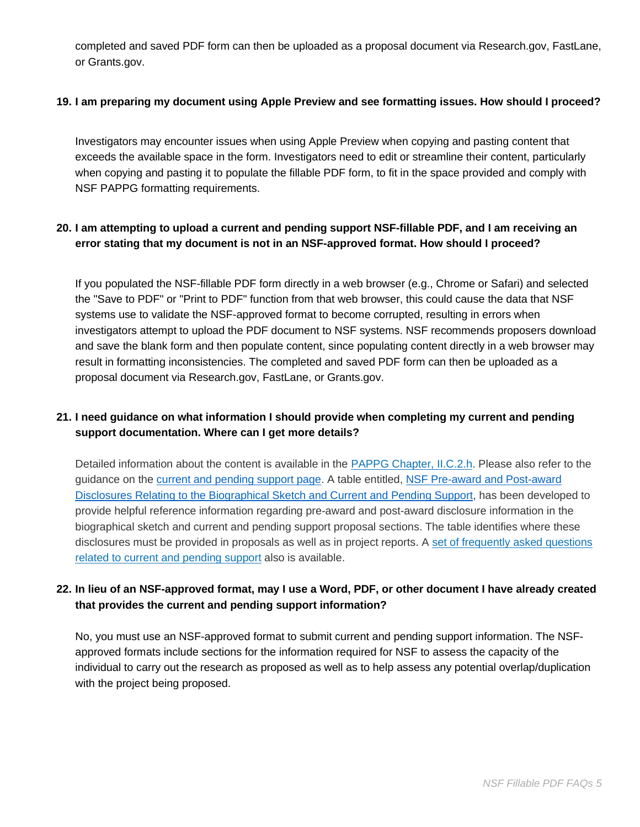completed and saved PDF form can then be uploaded as a proposal document via [Research.gov,](https://Research.gov) FastLane, or [Grants.gov.](https://Grants.gov)

#### **19. I am preparing my document using Apple Preview and see formatting issues. How should I proceed?**

 Investigators may encounter issues when using Apple Preview when copying and pasting content that exceeds the available space in the form. Investigators need to edit or streamline their content, particularly when copying and pasting it to populate the fillable PDF form, to fit in the space provided and comply with NSF PAPPG formatting requirements.

# **error stating that my document is not in an NSF-approved format. How should I proceed? 20. I am attempting to upload a current and pending support NSF-fillable PDF, and I am receiving an**

 If you populated the NSF-fillable PDF form directly in a web browser (e.g., Chrome or Safari) and selected the "Save to PDF" or "Print to PDF" function from that web browser, this could cause the data that NSF proposal document via [Research.gov,](https://Research.gov) FastLane, or [Grants.gov.](https://Grants.gov) systems use to validate the NSF-approved format to become corrupted, resulting in errors when investigators attempt to upload the PDF document to NSF systems. NSF recommends proposers download and save the blank form and then populate content, since populating content directly in a web browser may result in formatting inconsistencies. The completed and saved PDF form can then be uploaded as a

# **21. I need guidance on what information I should provide when completing my current and pending support documentation. Where can I get more details?**

Detailed information about the content is available in the **PAPPG Chapter, II.C.2.h.** Please also refer to the [Disclosures Relating to the Biographical Sketch and Current and Pending Support,](https://www.nsf.gov/bfa/dias/policy/disclosures_table.jsp) has been developed to biographical sketch and current and pending support proposal sections. The table identifies where these disclosures must be provided in proposals as well as in project reports. A set of frequently asked questions guidance on the [current and pending support page](https://www.nsf.gov/bfa/dias/policy/cps.jsp). A table entitled, [NSF Pre-award and Post-award](https://www.nsf.gov/bfa/dias/policy/disclosures_table.jsp)  provide helpful reference information regarding pre-award and post-award disclosure information in the [related to current and pending support](https://www.nsf.gov/bfa/dias/policy/papp/pappg20_1/faqs_cps20_1.pdf) also is available.

# **22. In lieu of an NSF-approved format, may I use a Word, PDF, or other document I have already created that provides the current and pending support information?**

 No, you must use an NSF-approved format to submit current and pending support information. The NSF- individual to carry out the research as proposed as well as to help assess any potential overlap/duplication approved formats include sections for the information required for NSF to assess the capacity of the with the project being proposed.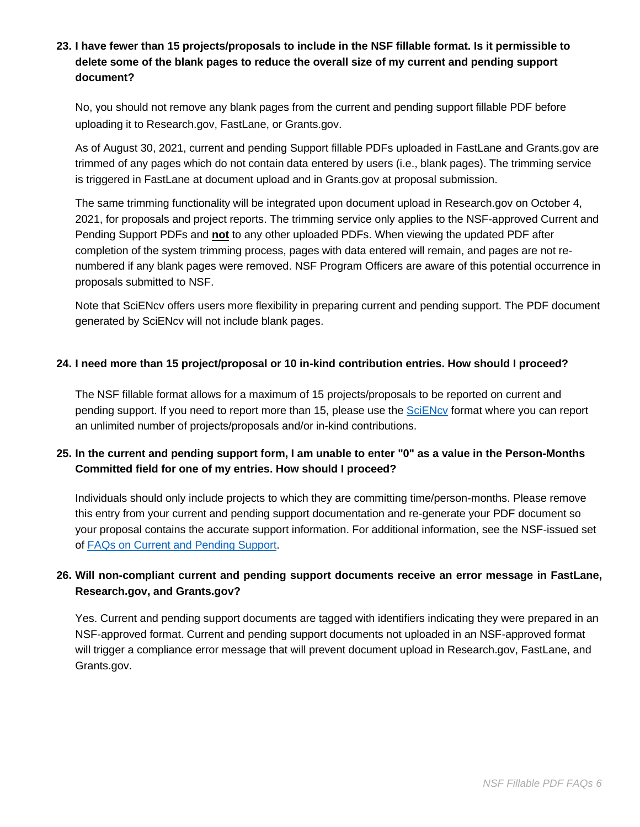# **23. I have fewer than 15 projects/proposals to include in the NSF fillable format. Is it permissible to delete some of the blank pages to reduce the overall size of my current and pending support document?**

 uploading it to [Research.gov](https://Research.gov), FastLane, or [Grants.gov](https://Grants.gov). No, you should not remove any blank pages from the current and pending support fillable PDF before

 As of August 30, 2021, current and pending Support fillable PDFs uploaded in FastLane and [Grants.gov](https://Grants.gov) are is triggered in FastLane at document upload and in [Grants.gov](https://Grants.gov) at proposal submission. trimmed of any pages which do not contain data entered by users (i.e., blank pages). The trimming service

 completion of the system trimming process, pages with data entered will remain, and pages are not re-The same trimming functionality will be integrated upon document upload in [Research.gov](https://Research.gov) on October 4, 2021, for proposals and project reports. The trimming service only applies to the NSF-approved Current and Pending Support PDFs and **not** to any other uploaded PDFs. When viewing the updated PDF after numbered if any blank pages were removed. NSF Program Officers are aware of this potential occurrence in proposals submitted to NSF.

Note that SciENcv offers users more flexibility in preparing current and pending support. The PDF document generated by SciENcv will not include blank pages.

#### **24. I need more than 15 project/proposal or 10 in-kind contribution entries. How should I proceed?**

 The NSF fillable format allows for a maximum of 15 projects/proposals to be reported on current and pending support. If you need to report more than 15, please use the **SciENcv** format where you can report an unlimited number of projects/proposals and/or in-kind contributions.

# **25. In the current and pending support form, I am unable to enter "0" as a value in the Person-Months Committed field for one of my entries. How should I proceed?**

Individuals should only include projects to which they are committing time/person-months. Please remove this entry from your current and pending support documentation and re-generate your PDF document so your proposal contains the accurate support information. For additional information, see the NSF-issued set of [FAQs on Current and Pending Support.](https://www.nsf.gov/bfa/dias/policy/cps_faqs/currentandpendingfaqs_june2021.pdf)

# **26. Will non-compliant current and pending support documents receive an error message in FastLane, [Research.gov,](https://Research.gov) and [Grants.gov?](https://Grants.gov)**

 Yes. Current and pending support documents are tagged with identifiers indicating they were prepared in an will trigger a compliance error message that will prevent document upload in [Research.gov,](https://Research.gov) FastLane, and NSF-approved format. Current and pending support documents not uploaded in an NSF-approved format [Grants.gov](https://Grants.gov).